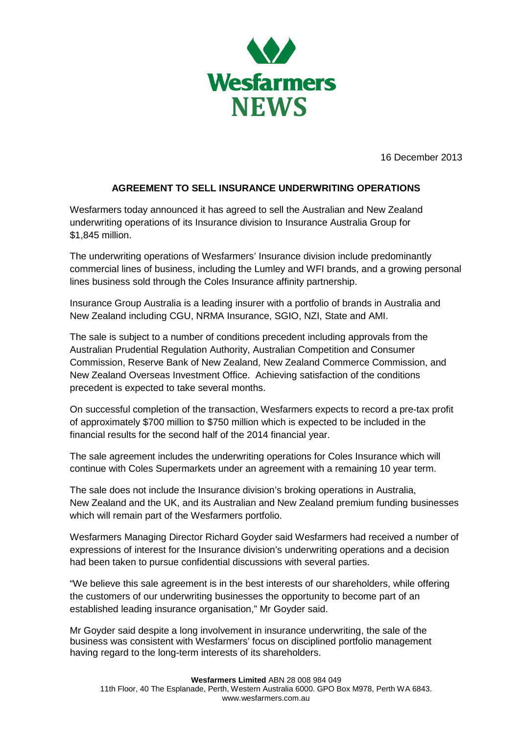

16 December 2013

## **AGREEMENT TO SELL INSURANCE UNDERWRITING OPERATIONS**

Wesfarmers today announced it has agreed to sell the Australian and New Zealand underwriting operations of its Insurance division to Insurance Australia Group for \$1,845 million.

The underwriting operations of Wesfarmers' Insurance division include predominantly commercial lines of business, including the Lumley and WFI brands, and a growing personal lines business sold through the Coles Insurance affinity partnership.

Insurance Group Australia is a leading insurer with a portfolio of brands in Australia and New Zealand including CGU, NRMA Insurance, SGIO, NZI, State and AMI.

The sale is subject to a number of conditions precedent including approvals from the Australian Prudential Regulation Authority, Australian Competition and Consumer Commission, Reserve Bank of New Zealand, New Zealand Commerce Commission, and New Zealand Overseas Investment Office. Achieving satisfaction of the conditions precedent is expected to take several months.

On successful completion of the transaction, Wesfarmers expects to record a pre-tax profit of approximately \$700 million to \$750 million which is expected to be included in the financial results for the second half of the 2014 financial year.

The sale agreement includes the underwriting operations for Coles Insurance which will continue with Coles Supermarkets under an agreement with a remaining 10 year term.

The sale does not include the Insurance division's broking operations in Australia, New Zealand and the UK, and its Australian and New Zealand premium funding businesses which will remain part of the Wesfarmers portfolio.

Wesfarmers Managing Director Richard Goyder said Wesfarmers had received a number of expressions of interest for the Insurance division's underwriting operations and a decision had been taken to pursue confidential discussions with several parties.

"We believe this sale agreement is in the best interests of our shareholders, while offering the customers of our underwriting businesses the opportunity to become part of an established leading insurance organisation," Mr Goyder said.

Mr Goyder said despite a long involvement in insurance underwriting, the sale of the business was consistent with Wesfarmers' focus on disciplined portfolio management having regard to the long-term interests of its shareholders.